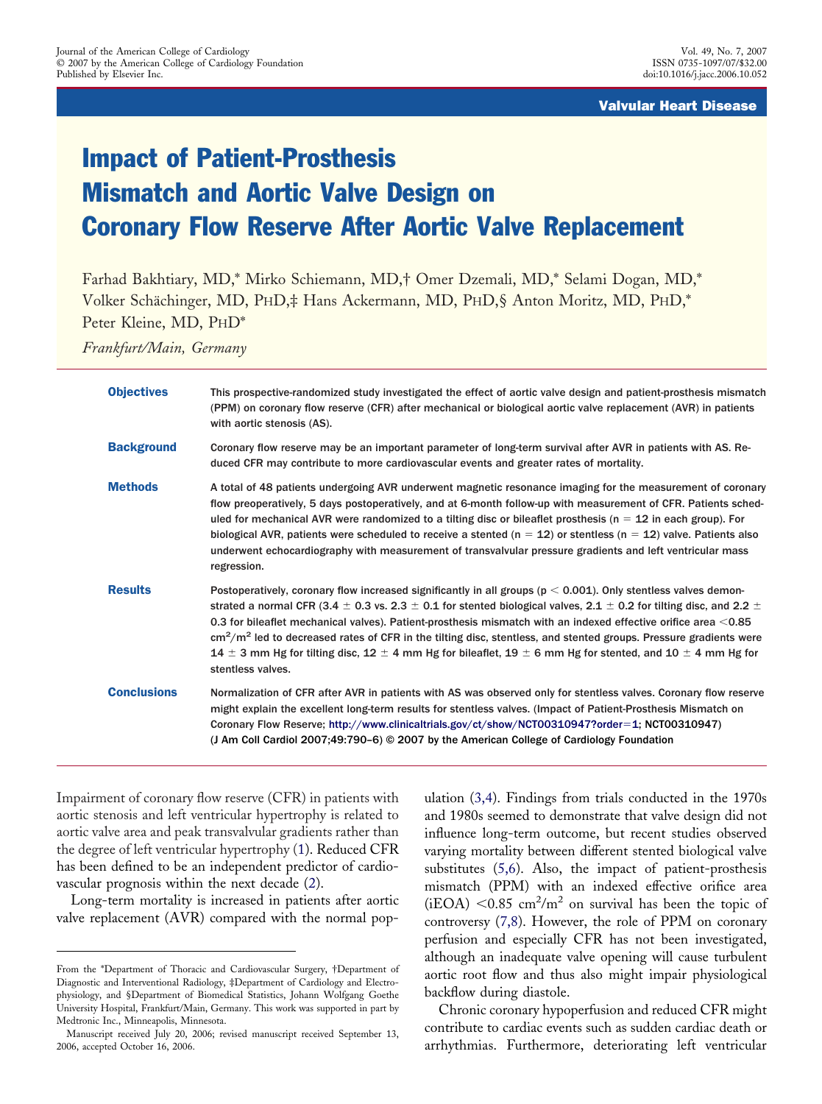#### Valvular Heart Disease

# Impact of Patient-Prosthesis Mismatch and Aortic Valve Design on Coronary Flow Reserve After Aortic Valve Replacement

Farhad Bakhtiary, MD,\* Mirko Schiemann, MD,† Omer Dzemali, MD,\* Selami Dogan, MD,\* Volker Schächinger, MD, PHD,‡ Hans Ackermann, MD, PHD,§ Anton Moritz, MD, PHD,\* Peter Kleine, MD, PHD\*

*Frankfurt/Main, Germany*

| <b>Objectives</b>  | This prospective-randomized study investigated the effect of aortic valve design and patient-prosthesis mismatch<br>(PPM) on coronary flow reserve (CFR) after mechanical or biological aortic valve replacement (AVR) in patients<br>with aortic stenosis (AS).                                                                                                                                                                                                                                                                                                                                                                                                   |
|--------------------|--------------------------------------------------------------------------------------------------------------------------------------------------------------------------------------------------------------------------------------------------------------------------------------------------------------------------------------------------------------------------------------------------------------------------------------------------------------------------------------------------------------------------------------------------------------------------------------------------------------------------------------------------------------------|
| <b>Background</b>  | Coronary flow reserve may be an important parameter of long-term survival after AVR in patients with AS. Re-<br>duced CFR may contribute to more cardiovascular events and greater rates of mortality.                                                                                                                                                                                                                                                                                                                                                                                                                                                             |
| <b>Methods</b>     | A total of 48 patients undergoing AVR underwent magnetic resonance imaging for the measurement of coronary<br>flow preoperatively, 5 days postoperatively, and at 6-month follow-up with measurement of CFR. Patients sched-<br>uled for mechanical AVR were randomized to a tilting disc or bileaflet prosthesis ( $n = 12$ in each group). For<br>biological AVR, patients were scheduled to receive a stented ( $n = 12$ ) or stentless ( $n = 12$ ) valve. Patients also<br>underwent echocardiography with measurement of transvalvular pressure gradients and left ventricular mass<br>regression.                                                           |
| <b>Results</b>     | Postoperatively, coronary flow increased significantly in all groups ( $p < 0.001$ ). Only stentless valves demon-<br>strated a normal CFR (3.4 $\pm$ 0.3 vs. 2.3 $\pm$ 0.1 for stented biological valves, 2.1 $\pm$ 0.2 for tilting disc, and 2.2 $\pm$<br>0.3 for bileaflet mechanical valves). Patient-prosthesis mismatch with an indexed effective orifice area <0.85<br>$\text{cm}^2/\text{m}^2$ led to decreased rates of CFR in the tilting disc, stentless, and stented groups. Pressure gradients were<br>14 $\pm$ 3 mm Hg for tilting disc, 12 $\pm$ 4 mm Hg for bileaflet, 19 $\pm$ 6 mm Hg for stented, and 10 $\pm$ 4 mm Hg for<br>stentless valves. |
| <b>Conclusions</b> | Normalization of CFR after AVR in patients with AS was observed only for stentless valves. Coronary flow reserve<br>might explain the excellent long-term results for stentless valves. (Impact of Patient-Prosthesis Mismatch on<br>Coronary Flow Reserve; http://www.clinicaltrials.gov/ct/show/NCT00310947?order=1; NCT00310947)<br>(J Am Coll Cardiol 2007;49:790-6) © 2007 by the American College of Cardiology Foundation                                                                                                                                                                                                                                   |

Impairment of coronary flow reserve (CFR) in patients with aortic stenosis and left ventricular hypertrophy is related to aortic valve area and peak transvalvular gradients rather than the degree of left ventricular hypertrophy [\(1\)](#page-6-0). Reduced CFR has been defined to be an independent predictor of cardiovascular prognosis within the next decade [\(2\)](#page-6-0).

Long-term mortality is increased in patients after aortic valve replacement (AVR) compared with the normal population [\(3,4\)](#page-6-0). Findings from trials conducted in the 1970s and 1980s seemed to demonstrate that valve design did not influence long-term outcome, but recent studies observed varying mortality between different stented biological valve substitutes [\(5,6\)](#page-6-0). Also, the impact of patient-prosthesis mismatch (PPM) with an indexed effective orifice area (iEOA) < $0.85 \text{ cm}^2/\text{m}^2$  on survival has been the topic of controversy [\(7,8\)](#page-6-0). However, the role of PPM on coronary perfusion and especially CFR has not been investigated, although an inadequate valve opening will cause turbulent aortic root flow and thus also might impair physiological backflow during diastole.

Chronic coronary hypoperfusion and reduced CFR might contribute to cardiac events such as sudden cardiac death or arrhythmias. Furthermore, deteriorating left ventricular

From the \*Department of Thoracic and Cardiovascular Surgery, †Department of Diagnostic and Interventional Radiology, ‡Department of Cardiology and Electrophysiology, and §Department of Biomedical Statistics, Johann Wolfgang Goethe University Hospital, Frankfurt/Main, Germany. This work was supported in part by Medtronic Inc., Minneapolis, Minnesota.

Manuscript received July 20, 2006; revised manuscript received September 13, 2006, accepted October 16, 2006.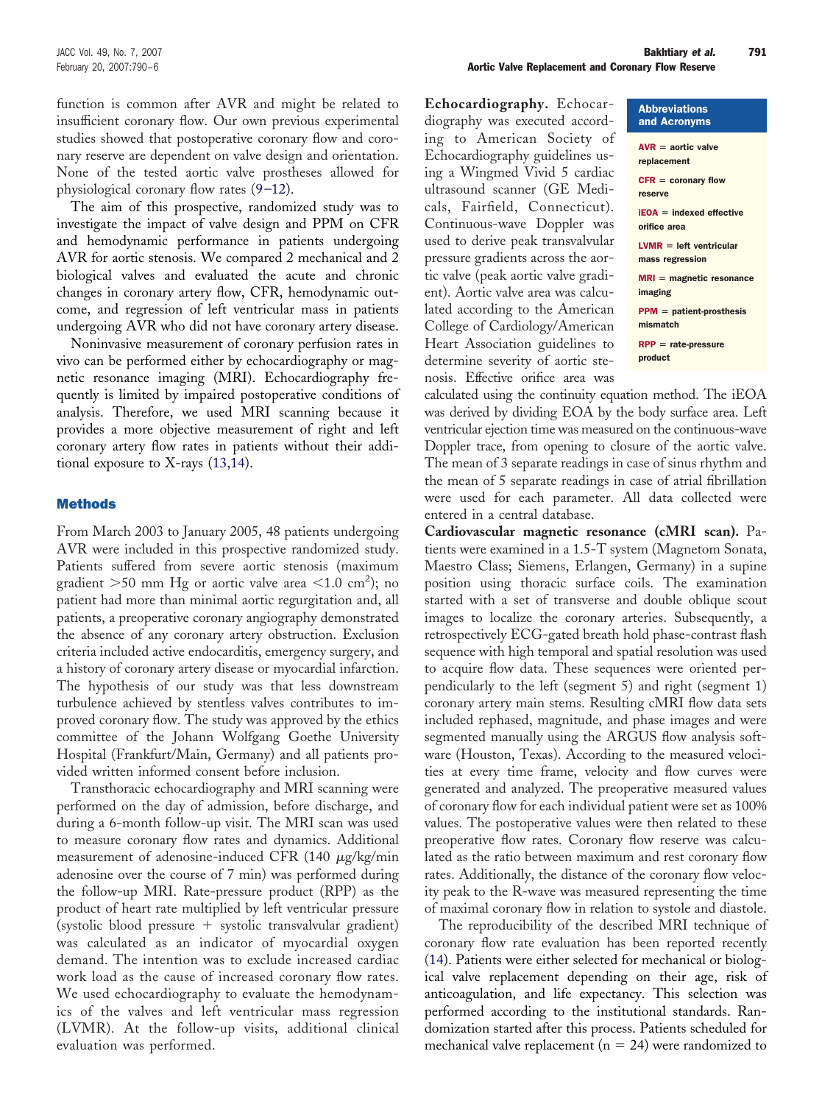function is common after AVR and might be related to insufficient coronary flow. Our own previous experimental studies showed that postoperative coronary flow and coronary reserve are dependent on valve design and orientation. None of the tested aortic valve prostheses allowed for physiological coronary flow rates [\(9–12\)](#page-6-0).

The aim of this prospective, randomized study was to investigate the impact of valve design and PPM on CFR and hemodynamic performance in patients undergoing AVR for aortic stenosis. We compared 2 mechanical and 2 biological valves and evaluated the acute and chronic changes in coronary artery flow, CFR, hemodynamic outcome, and regression of left ventricular mass in patients undergoing AVR who did not have coronary artery disease.

Noninvasive measurement of coronary perfusion rates in vivo can be performed either by echocardiography or magnetic resonance imaging (MRI). Echocardiography frequently is limited by impaired postoperative conditions of analysis. Therefore, we used MRI scanning because it provides a more objective measurement of right and left coronary artery flow rates in patients without their additional exposure to X-rays [\(13,14\)](#page-6-0).

# Methods

From March 2003 to January 2005, 48 patients undergoing AVR were included in this prospective randomized study. Patients suffered from severe aortic stenosis (maximum gradient >50 mm Hg or aortic valve area <1.0 cm<sup>2</sup>); no patient had more than minimal aortic regurgitation and, all patients, a preoperative coronary angiography demonstrated the absence of any coronary artery obstruction. Exclusion criteria included active endocarditis, emergency surgery, and a history of coronary artery disease or myocardial infarction. The hypothesis of our study was that less downstream turbulence achieved by stentless valves contributes to improved coronary flow. The study was approved by the ethics committee of the Johann Wolfgang Goethe University Hospital (Frankfurt/Main, Germany) and all patients provided written informed consent before inclusion.

Transthoracic echocardiography and MRI scanning were performed on the day of admission, before discharge, and during a 6-month follow-up visit. The MRI scan was used to measure coronary flow rates and dynamics. Additional measurement of adenosine-induced CFR (140  $\mu$ g/kg/min adenosine over the course of 7 min) was performed during the follow-up MRI. Rate-pressure product (RPP) as the product of heart rate multiplied by left ventricular pressure (systolic blood pressure  $+$  systolic transvalvular gradient) was calculated as an indicator of myocardial oxygen demand. The intention was to exclude increased cardiac work load as the cause of increased coronary flow rates. We used echocardiography to evaluate the hemodynamics of the valves and left ventricular mass regression (LVMR). At the follow-up visits, additional clinical evaluation was performed.

**Echocardiography.** Echocardiography was executed according to American Society of Echocardiography guidelines using a Wingmed Vivid 5 cardiac ultrasound scanner (GE Medicals, Fairfield, Connecticut). Continuous-wave Doppler was used to derive peak transvalvular pressure gradients across the aortic valve (peak aortic valve gradient). Aortic valve area was calculated according to the American College of Cardiology/American Heart Association guidelines to determine severity of aortic stenosis. Effective orifice area was

| <b>Abbreviations</b><br>and Acronyms                         |
|--------------------------------------------------------------|
| $AVR =$ aortic valve<br>replacement                          |
| $CFR = \text{coronary flow}$<br>reserve                      |
| $\mathsf{IEOA} = \mathsf{indexed}$ effective<br>orifice area |
| $LVMR = left$ ventricular<br>mass regression                 |
| $MRI = magnetic$ resonance<br>imaging                        |
| $PPM =$ patient-prosthesis<br>mismatch                       |
| $RPP = rate-presure$<br>product                              |

calculated using the continuity equation method. The iEOA was derived by dividing EOA by the body surface area. Left ventricular ejection time was measured on the continuous-wave Doppler trace, from opening to closure of the aortic valve. The mean of 3 separate readings in case of sinus rhythm and the mean of 5 separate readings in case of atrial fibrillation were used for each parameter. All data collected were entered in a central database.

**Cardiovascular magnetic resonance (cMRI scan).** Patients were examined in a 1.5-T system (Magnetom Sonata, Maestro Class; Siemens, Erlangen, Germany) in a supine position using thoracic surface coils. The examination started with a set of transverse and double oblique scout images to localize the coronary arteries. Subsequently, a retrospectively ECG-gated breath hold phase-contrast flash sequence with high temporal and spatial resolution was used to acquire flow data. These sequences were oriented perpendicularly to the left (segment 5) and right (segment 1) coronary artery main stems. Resulting cMRI flow data sets included rephased, magnitude, and phase images and were segmented manually using the ARGUS flow analysis software (Houston, Texas). According to the measured velocities at every time frame, velocity and flow curves were generated and analyzed. The preoperative measured values of coronary flow for each individual patient were set as 100% values. The postoperative values were then related to these preoperative flow rates. Coronary flow reserve was calculated as the ratio between maximum and rest coronary flow rates. Additionally, the distance of the coronary flow velocity peak to the R-wave was measured representing the time of maximal coronary flow in relation to systole and diastole.

The reproducibility of the described MRI technique of coronary flow rate evaluation has been reported recently [\(14\)](#page-6-0). Patients were either selected for mechanical or biological valve replacement depending on their age, risk of anticoagulation, and life expectancy. This selection was performed according to the institutional standards. Randomization started after this process. Patients scheduled for mechanical valve replacement ( $n = 24$ ) were randomized to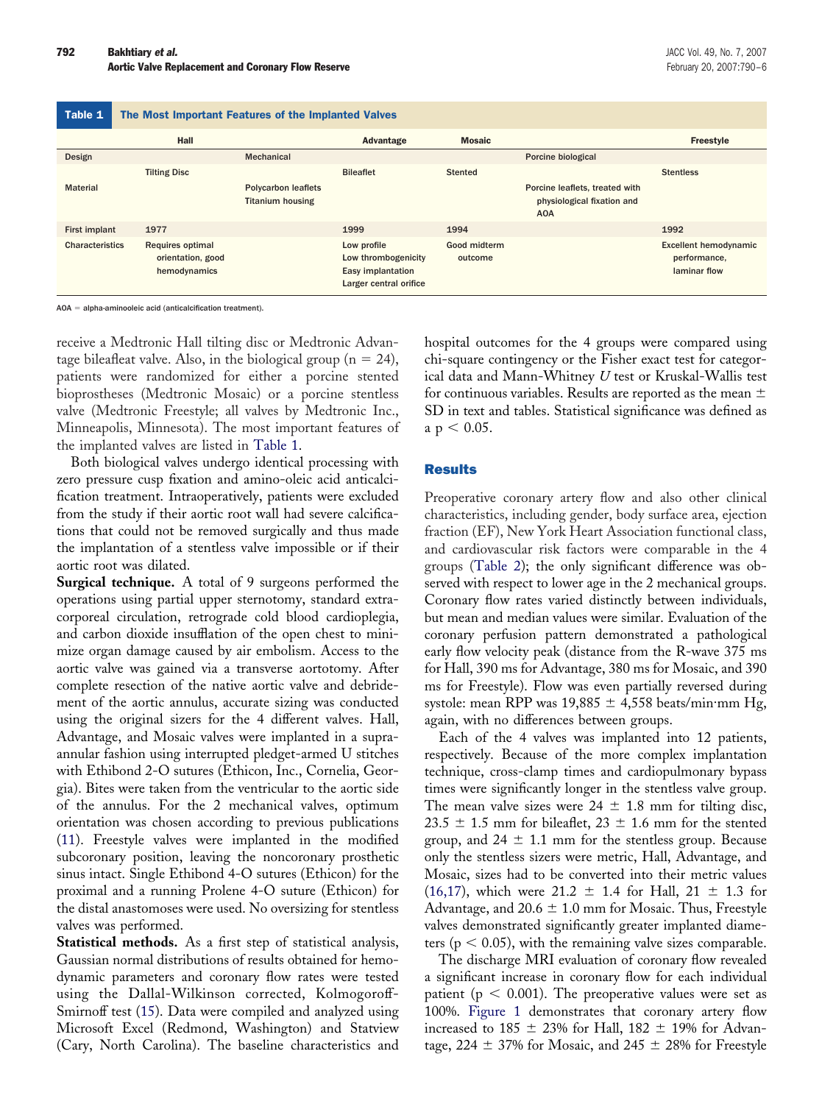#### Table 1 The Most Important Features of the Implanted Valves Hall Advantage Mosaic Freestyle Design Mechanical Porcine biological Tilting Disc **Stentless Stentless Bileaflet** Stentless Stentless Stentless Stentless Stentless Stentless Stentless **Material Material Polycarbon leaflets** Titanium housing Porcine leaflets, treated with physiological fixation and AOA First implant 1977 1999 1994 1992 Characteristics Requires optimal orientation, good hemodynamics Low profile Low thrombogenicity Easy implantation Larger central orifice Good midterm outcome Excellent hemodynamic performance, laminar flow

 $AOA = alpha-aminooleic acid (anticalcification treatment).$ 

receive a Medtronic Hall tilting disc or Medtronic Advantage bileafleat valve. Also, in the biological group ( $n = 24$ ), patients were randomized for either a porcine stented bioprostheses (Medtronic Mosaic) or a porcine stentless valve (Medtronic Freestyle; all valves by Medtronic Inc., Minneapolis, Minnesota). The most important features of the implanted valves are listed in Table 1.

Both biological valves undergo identical processing with zero pressure cusp fixation and amino-oleic acid anticalcification treatment. Intraoperatively, patients were excluded from the study if their aortic root wall had severe calcifications that could not be removed surgically and thus made the implantation of a stentless valve impossible or if their aortic root was dilated.

**Surgical technique.** A total of 9 surgeons performed the operations using partial upper sternotomy, standard extracorporeal circulation, retrograde cold blood cardioplegia, and carbon dioxide insufflation of the open chest to minimize organ damage caused by air embolism. Access to the aortic valve was gained via a transverse aortotomy. After complete resection of the native aortic valve and debridement of the aortic annulus, accurate sizing was conducted using the original sizers for the 4 different valves. Hall, Advantage, and Mosaic valves were implanted in a supraannular fashion using interrupted pledget-armed U stitches with Ethibond 2-O sutures (Ethicon, Inc., Cornelia, Georgia). Bites were taken from the ventricular to the aortic side of the annulus. For the 2 mechanical valves, optimum orientation was chosen according to previous publications [\(11\)](#page-6-0). Freestyle valves were implanted in the modified subcoronary position, leaving the noncoronary prosthetic sinus intact. Single Ethibond 4-O sutures (Ethicon) for the proximal and a running Prolene 4-O suture (Ethicon) for the distal anastomoses were used. No oversizing for stentless valves was performed.

**Statistical methods.** As a first step of statistical analysis, Gaussian normal distributions of results obtained for hemodynamic parameters and coronary flow rates were tested using the Dallal-Wilkinson corrected, Kolmogoroff-Smirnoff test [\(15\)](#page-6-0). Data were compiled and analyzed using Microsoft Excel (Redmond, Washington) and Statview (Cary, North Carolina). The baseline characteristics and hospital outcomes for the 4 groups were compared using chi-square contingency or the Fisher exact test for categorical data and Mann-Whitney *U* test or Kruskal-Wallis test for continuous variables. Results are reported as the mean  $\pm$ SD in text and tables. Statistical significance was defined as a p  $< 0.05$ .

# Results

Preoperative coronary artery flow and also other clinical characteristics, including gender, body surface area, ejection fraction (EF), New York Heart Association functional class, and cardiovascular risk factors were comparable in the 4 groups [\(Table 2\)](#page-3-0); the only significant difference was observed with respect to lower age in the 2 mechanical groups. Coronary flow rates varied distinctly between individuals, but mean and median values were similar. Evaluation of the coronary perfusion pattern demonstrated a pathological early flow velocity peak (distance from the R-wave 375 ms for Hall, 390 ms for Advantage, 380 ms for Mosaic, and 390 ms for Freestyle). Flow was even partially reversed during systole: mean RPP was  $19,885 \pm 4,558$  beats/min·mm Hg, again, with no differences between groups.

Each of the 4 valves was implanted into 12 patients, respectively. Because of the more complex implantation technique, cross-clamp times and cardiopulmonary bypass times were significantly longer in the stentless valve group. The mean valve sizes were  $24 \pm 1.8$  mm for tilting disc, 23.5  $\pm$  1.5 mm for bileaflet, 23  $\pm$  1.6 mm for the stented group, and  $24 \pm 1.1$  mm for the stentless group. Because only the stentless sizers were metric, Hall, Advantage, and Mosaic, sizes had to be converted into their metric values [\(16,17](#page-6-0)), which were 21.2  $\pm$  1.4 for Hall, 21  $\pm$  1.3 for Advantage, and 20.6  $\pm$  1.0 mm for Mosaic. Thus, Freestyle valves demonstrated significantly greater implanted diameters ( $p < 0.05$ ), with the remaining valve sizes comparable.

The discharge MRI evaluation of coronary flow revealed a significant increase in coronary flow for each individual patient (p  $<$  0.001). The preoperative values were set as 100%. [Figure 1](#page-3-0) demonstrates that coronary artery flow increased to 185  $\pm$  23% for Hall, 182  $\pm$  19% for Advantage, 224  $\pm$  37% for Mosaic, and 245  $\pm$  28% for Freestyle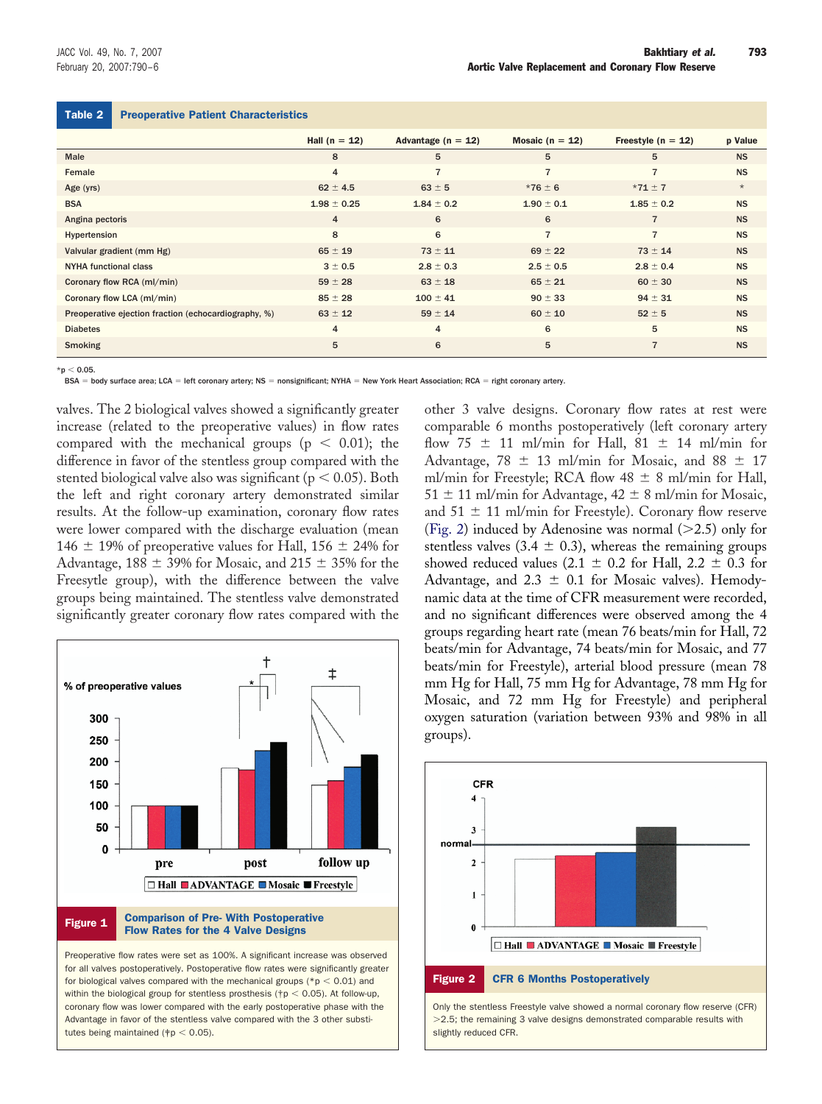<span id="page-3-0"></span>

| rapie z                                              | <b>Preoperative Patient Unaracteristics</b> |                        |                     |                      |           |  |  |  |  |  |  |
|------------------------------------------------------|---------------------------------------------|------------------------|---------------------|----------------------|-----------|--|--|--|--|--|--|
|                                                      | Hall $(n = 12)$                             | Advantage ( $n = 12$ ) | Mosaic ( $n = 12$ ) | Freestyle $(n = 12)$ | p Value   |  |  |  |  |  |  |
| Male                                                 | 8                                           | 5                      | 5                   | 5                    | <b>NS</b> |  |  |  |  |  |  |
| Female                                               | 4                                           | $\overline{7}$         | $\overline{7}$      | $\overline{7}$       | <b>NS</b> |  |  |  |  |  |  |
| Age (yrs)                                            | $62 \pm 4.5$                                | $63 \pm 5$             | $*76 \pm 6$         | $*71 \pm 7$          | $\star$   |  |  |  |  |  |  |
| <b>BSA</b>                                           | $1.98 \pm 0.25$                             | $1.84 \pm 0.2$         | $1.90 \pm 0.1$      | $1.85 \pm 0.2$       | <b>NS</b> |  |  |  |  |  |  |
| Angina pectoris                                      | $\overline{4}$                              | 6                      | 6                   | $\overline{7}$       | <b>NS</b> |  |  |  |  |  |  |
| Hypertension                                         | 8                                           | 6                      | $\overline{7}$      | $\overline{7}$       | <b>NS</b> |  |  |  |  |  |  |
| Valvular gradient (mm Hg)                            | $65 \pm 19$                                 | $73 \pm 11$            | $69 \pm 22$         | $73 \pm 14$          | <b>NS</b> |  |  |  |  |  |  |
| <b>NYHA functional class</b>                         | $3 \pm 0.5$                                 | $2.8 \pm 0.3$          | $2.5 \pm 0.5$       | $2.8 \pm 0.4$        | <b>NS</b> |  |  |  |  |  |  |
| Coronary flow RCA (ml/min)                           | $59 \pm 28$                                 | $63 \pm 18$            | $65 \pm 21$         | $60 \pm 30$          | <b>NS</b> |  |  |  |  |  |  |
| Coronary flow LCA (ml/min)                           | $85 \pm 28$                                 | $100 \pm 41$           | $90 \pm 33$         | $94 \pm 31$          | <b>NS</b> |  |  |  |  |  |  |
| Preoperative ejection fraction (echocardiography, %) | $63 \pm 12$                                 | $59 \pm 14$            | $60 \pm 10$         | $52 \pm 5$           | <b>NS</b> |  |  |  |  |  |  |
| <b>Diabetes</b>                                      | 4                                           | 4                      | 6                   | 5                    | <b>NS</b> |  |  |  |  |  |  |
| <b>Smoking</b>                                       | 5                                           | 6                      | 5                   | $\overline{7}$       | <b>NS</b> |  |  |  |  |  |  |

# Table 2 Preoperative Patient Characteristics

 $*{\sf p} <$  0.05.

BSA = body surface area; LCA = left coronary artery; NS = nonsignificant; NYHA = New York Heart Association; RCA = right coronary artery.

valves. The 2 biological valves showed a significantly greater increase (related to the preoperative values) in flow rates compared with the mechanical groups ( $p < 0.01$ ); the difference in favor of the stentless group compared with the stented biological valve also was significant (p  $<$  0.05). Both the left and right coronary artery demonstrated similar results. At the follow-up examination, coronary flow rates were lower compared with the discharge evaluation (mean 146  $\pm$  19% of preoperative values for Hall, 156  $\pm$  24% for Advantage, 188  $\pm$  39% for Mosaic, and 215  $\pm$  35% for the Freesytle group), with the difference between the valve groups being maintained. The stentless valve demonstrated significantly greater coronary flow rates compared with the



Preoperative flow rates were set as 100%. A significant increase was observed for all valves postoperatively. Postoperative flow rates were significantly greater for biological valves compared with the mechanical groups ( $p < 0.01$ ) and within the biological group for stentless prosthesis ( $\uparrow$ p < 0.05). At follow-up, coronary flow was lower compared with the early postoperative phase with the Advantage in favor of the stentless valve compared with the 3 other substitutes being maintained ( $/p < 0.05$ ).

other 3 valve designs. Coronary flow rates at rest were comparable 6 months postoperatively (left coronary artery flow 75  $\pm$  11 ml/min for Hall, 81  $\pm$  14 ml/min for Advantage, 78  $\pm$  13 ml/min for Mosaic, and 88  $\pm$  17 ml/min for Freestyle; RCA flow  $48 \pm 8$  ml/min for Hall, 51  $\pm$  11 ml/min for Advantage, 42  $\pm$  8 ml/min for Mosaic, and  $51 \pm 11$  ml/min for Freestyle). Coronary flow reserve (Fig. 2) induced by Adenosine was normal  $(>2.5)$  only for stentless valves  $(3.4 \pm 0.3)$ , whereas the remaining groups showed reduced values (2.1  $\pm$  0.2 for Hall, 2.2  $\pm$  0.3 for Advantage, and  $2.3 \pm 0.1$  for Mosaic valves). Hemodynamic data at the time of CFR measurement were recorded, and no significant differences were observed among the 4 groups regarding heart rate (mean 76 beats/min for Hall, 72 beats/min for Advantage, 74 beats/min for Mosaic, and 77 beats/min for Freestyle), arterial blood pressure (mean 78 mm Hg for Hall, 75 mm Hg for Advantage, 78 mm Hg for Mosaic, and 72 mm Hg for Freestyle) and peripheral oxygen saturation (variation between 93% and 98% in all groups).

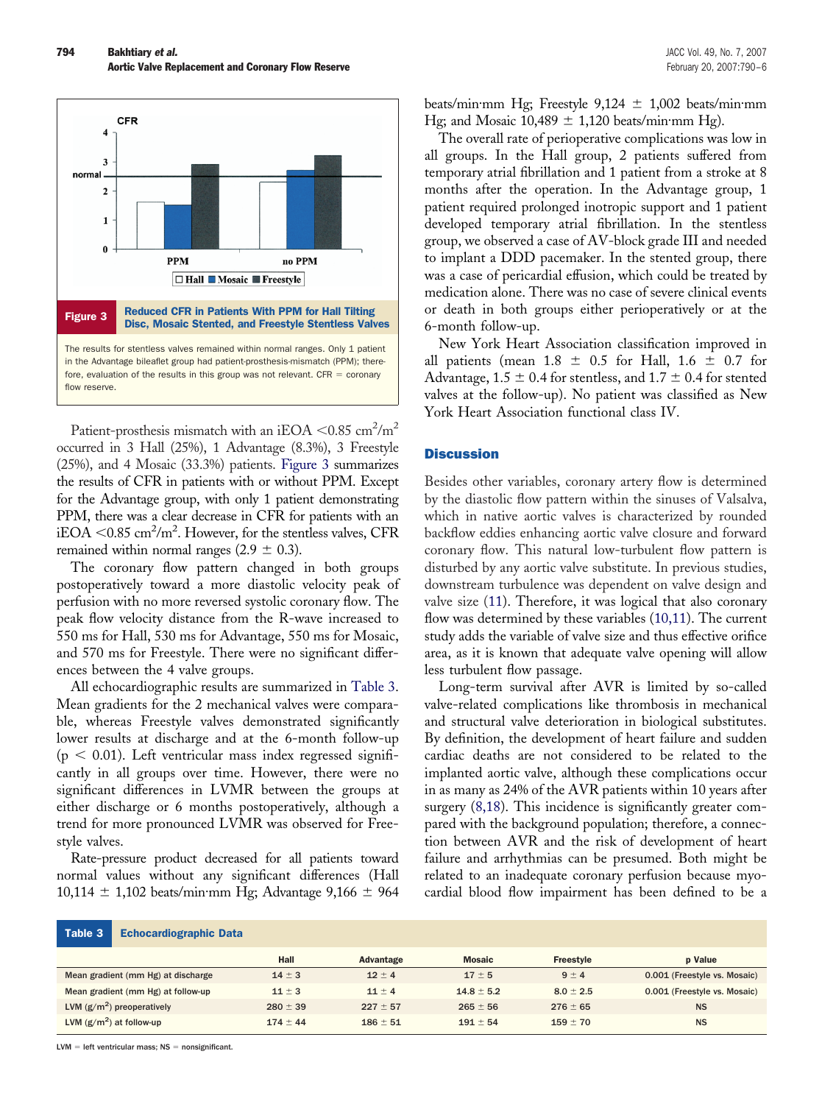

Patient-prosthesis mismatch with an iEOA < $0.85 \text{ cm}^2/\text{m}^2$ occurred in 3 Hall (25%), 1 Advantage (8.3%), 3 Freestyle (25%), and 4 Mosaic (33.3%) patients. Figure 3 summarizes the results of CFR in patients with or without PPM. Except for the Advantage group, with only 1 patient demonstrating PPM, there was a clear decrease in CFR for patients with an  $\text{EOA}$  <0.85 cm<sup>2</sup>/m<sup>2</sup>. However, for the stentless valves, CFR remained within normal ranges  $(2.9 \pm 0.3)$ .

The coronary flow pattern changed in both groups postoperatively toward a more diastolic velocity peak of perfusion with no more reversed systolic coronary flow. The peak flow velocity distance from the R-wave increased to 550 ms for Hall, 530 ms for Advantage, 550 ms for Mosaic, and 570 ms for Freestyle. There were no significant differences between the 4 valve groups.

All echocardiographic results are summarized in Table 3. Mean gradients for the 2 mechanical valves were comparable, whereas Freestyle valves demonstrated significantly lower results at discharge and at the 6-month follow-up  $(p < 0.01)$ . Left ventricular mass index regressed significantly in all groups over time. However, there were no significant differences in LVMR between the groups at either discharge or 6 months postoperatively, although a trend for more pronounced LVMR was observed for Freestyle valves.

Rate-pressure product decreased for all patients toward normal values without any significant differences (Hall 10,114  $\pm$  1,102 beats/min·mm Hg; Advantage 9,166  $\pm$  964 beats/min·mm Hg; Freestyle  $9,124 \pm 1,002$  beats/min·mm Hg; and Mosaic  $10,489 \pm 1,120$  beats/min·mm Hg).

The overall rate of perioperative complications was low in all groups. In the Hall group, 2 patients suffered from temporary atrial fibrillation and 1 patient from a stroke at 8 months after the operation. In the Advantage group, 1 patient required prolonged inotropic support and 1 patient developed temporary atrial fibrillation. In the stentless group, we observed a case of AV-block grade III and needed to implant a DDD pacemaker. In the stented group, there was a case of pericardial effusion, which could be treated by medication alone. There was no case of severe clinical events or death in both groups either perioperatively or at the 6-month follow-up.

New York Heart Association classification improved in all patients (mean  $1.8 \pm 0.5$  for Hall,  $1.6 \pm 0.7$  for Advantage,  $1.5 \pm 0.4$  for stentless, and  $1.7 \pm 0.4$  for stented valves at the follow-up). No patient was classified as New York Heart Association functional class IV.

# **Discussion**

Besides other variables, coronary artery flow is determined by the diastolic flow pattern within the sinuses of Valsalva, which in native aortic valves is characterized by rounded backflow eddies enhancing aortic valve closure and forward coronary flow. This natural low-turbulent flow pattern is disturbed by any aortic valve substitute. In previous studies, downstream turbulence was dependent on valve design and valve size [\(11\)](#page-6-0). Therefore, it was logical that also coronary flow was determined by these variables [\(10,11\)](#page-6-0). The current study adds the variable of valve size and thus effective orifice area, as it is known that adequate valve opening will allow less turbulent flow passage.

Long-term survival after AVR is limited by so-called valve-related complications like thrombosis in mechanical and structural valve deterioration in biological substitutes. By definition, the development of heart failure and sudden cardiac deaths are not considered to be related to the implanted aortic valve, although these complications occur in as many as 24% of the AVR patients within 10 years after surgery [\(8,18\)](#page-6-0). This incidence is significantly greater compared with the background population; therefore, a connection between AVR and the risk of development of heart failure and arrhythmias can be presumed. Both might be related to an inadequate coronary perfusion because myocardial blood flow impairment has been defined to be a

#### Table 3 Echocardiographic Data

|                                    | Hall         | Advantage    | <b>Mosaic</b>  | Freestyle     | <b>p</b> Value               |
|------------------------------------|--------------|--------------|----------------|---------------|------------------------------|
| Mean gradient (mm Hg) at discharge | $14 \pm 3$   | $12 \pm 4$   | $17 \pm 5$     | $9 \pm 4$     | 0.001 (Freestyle vs. Mosaic) |
| Mean gradient (mm Hg) at follow-up | $11 \pm 3$   | $11 \pm 4$   | $14.8 \pm 5.2$ | $8.0 \pm 2.5$ | 0.001 (Freestyle vs. Mosaic) |
| LVM $(g/m^2)$ preoperatively       | $280 \pm 39$ | $227 \pm 57$ | $265 \pm 56$   | $276 \pm 65$  | <b>NS</b>                    |
| LVM $(g/m^2)$ at follow-up         | $174 \pm 44$ | $186 \pm 51$ | $191 \pm 54$   | $159 \pm 70$  | <b>NS</b>                    |

 $LVM = left ventricular mass; NS = nonsignificant.$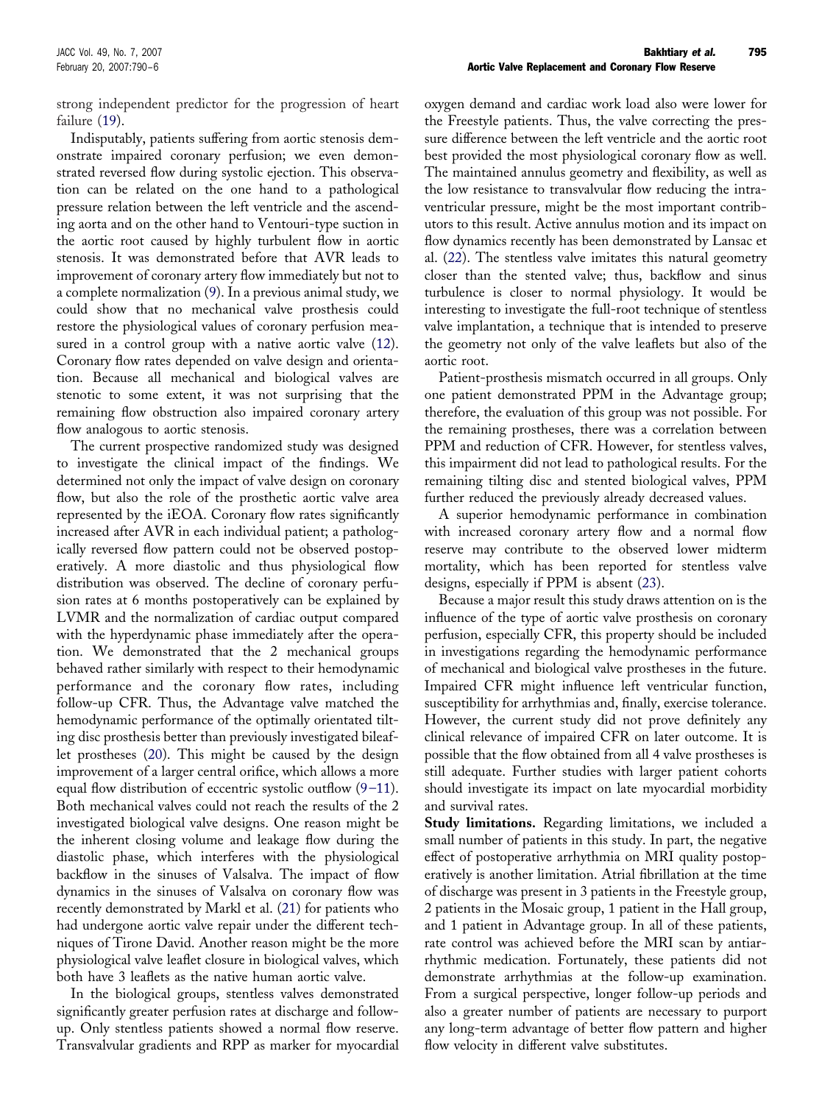strong independent predictor for the progression of heart failure [\(19\)](#page-6-0).

Indisputably, patients suffering from aortic stenosis demonstrate impaired coronary perfusion; we even demonstrated reversed flow during systolic ejection. This observation can be related on the one hand to a pathological pressure relation between the left ventricle and the ascending aorta and on the other hand to Ventouri-type suction in the aortic root caused by highly turbulent flow in aortic stenosis. It was demonstrated before that AVR leads to improvement of coronary artery flow immediately but not to a complete normalization [\(9\)](#page-6-0). In a previous animal study, we could show that no mechanical valve prosthesis could restore the physiological values of coronary perfusion measured in a control group with a native aortic valve ([12\)](#page-6-0). Coronary flow rates depended on valve design and orientation. Because all mechanical and biological valves are stenotic to some extent, it was not surprising that the remaining flow obstruction also impaired coronary artery flow analogous to aortic stenosis.

The current prospective randomized study was designed to investigate the clinical impact of the findings. We determined not only the impact of valve design on coronary flow, but also the role of the prosthetic aortic valve area represented by the iEOA. Coronary flow rates significantly increased after AVR in each individual patient; a pathologically reversed flow pattern could not be observed postoperatively. A more diastolic and thus physiological flow distribution was observed. The decline of coronary perfusion rates at 6 months postoperatively can be explained by LVMR and the normalization of cardiac output compared with the hyperdynamic phase immediately after the operation. We demonstrated that the 2 mechanical groups behaved rather similarly with respect to their hemodynamic performance and the coronary flow rates, including follow-up CFR. Thus, the Advantage valve matched the hemodynamic performance of the optimally orientated tilting disc prosthesis better than previously investigated bileaflet prostheses [\(20\)](#page-6-0). This might be caused by the design improvement of a larger central orifice, which allows a more equal flow distribution of eccentric systolic outflow [\(9–11\)](#page-6-0). Both mechanical valves could not reach the results of the 2 investigated biological valve designs. One reason might be the inherent closing volume and leakage flow during the diastolic phase, which interferes with the physiological backflow in the sinuses of Valsalva. The impact of flow dynamics in the sinuses of Valsalva on coronary flow was recently demonstrated by Markl et al. [\(21\)](#page-6-0) for patients who had undergone aortic valve repair under the different techniques of Tirone David. Another reason might be the more physiological valve leaflet closure in biological valves, which both have 3 leaflets as the native human aortic valve.

In the biological groups, stentless valves demonstrated significantly greater perfusion rates at discharge and followup. Only stentless patients showed a normal flow reserve. Transvalvular gradients and RPP as marker for myocardial oxygen demand and cardiac work load also were lower for the Freestyle patients. Thus, the valve correcting the pressure difference between the left ventricle and the aortic root best provided the most physiological coronary flow as well. The maintained annulus geometry and flexibility, as well as the low resistance to transvalvular flow reducing the intraventricular pressure, might be the most important contributors to this result. Active annulus motion and its impact on flow dynamics recently has been demonstrated by Lansac et al. [\(22\)](#page-6-0). The stentless valve imitates this natural geometry closer than the stented valve; thus, backflow and sinus turbulence is closer to normal physiology. It would be interesting to investigate the full-root technique of stentless valve implantation, a technique that is intended to preserve the geometry not only of the valve leaflets but also of the aortic root.

Patient-prosthesis mismatch occurred in all groups. Only one patient demonstrated PPM in the Advantage group; therefore, the evaluation of this group was not possible. For the remaining prostheses, there was a correlation between PPM and reduction of CFR. However, for stentless valves, this impairment did not lead to pathological results. For the remaining tilting disc and stented biological valves, PPM further reduced the previously already decreased values.

A superior hemodynamic performance in combination with increased coronary artery flow and a normal flow reserve may contribute to the observed lower midterm mortality, which has been reported for stentless valve designs, especially if PPM is absent [\(23\)](#page-6-0).

Because a major result this study draws attention on is the influence of the type of aortic valve prosthesis on coronary perfusion, especially CFR, this property should be included in investigations regarding the hemodynamic performance of mechanical and biological valve prostheses in the future. Impaired CFR might influence left ventricular function, susceptibility for arrhythmias and, finally, exercise tolerance. However, the current study did not prove definitely any clinical relevance of impaired CFR on later outcome. It is possible that the flow obtained from all 4 valve prostheses is still adequate. Further studies with larger patient cohorts should investigate its impact on late myocardial morbidity and survival rates.

**Study limitations.** Regarding limitations, we included a small number of patients in this study. In part, the negative effect of postoperative arrhythmia on MRI quality postoperatively is another limitation. Atrial fibrillation at the time of discharge was present in 3 patients in the Freestyle group, 2 patients in the Mosaic group, 1 patient in the Hall group, and 1 patient in Advantage group. In all of these patients, rate control was achieved before the MRI scan by antiarrhythmic medication. Fortunately, these patients did not demonstrate arrhythmias at the follow-up examination. From a surgical perspective, longer follow-up periods and also a greater number of patients are necessary to purport any long-term advantage of better flow pattern and higher flow velocity in different valve substitutes.